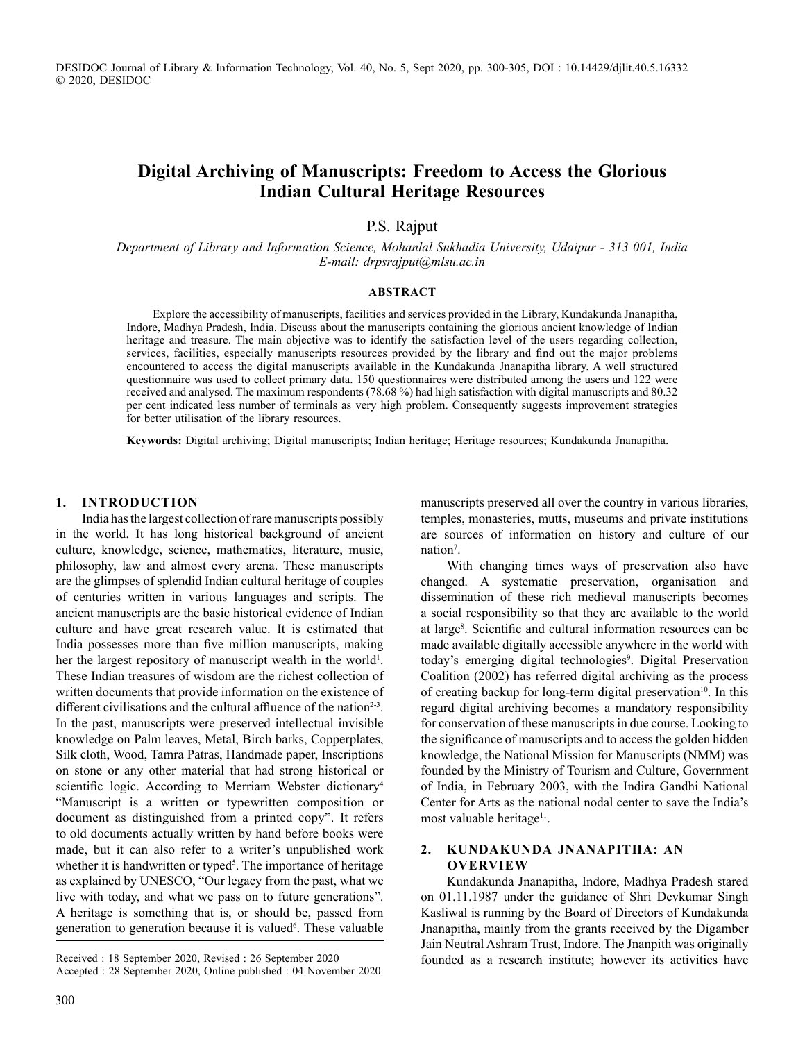DESIDOC Journal of Library & Information Technology, Vol. 40, No. 5, Sept 2020, pp. 300-305, DOI : 10.14429/djlit.40.5.16332 2020, DESIDOC

## **Digital Archiving of Manuscripts: Freedom to Access the Glorious Indian Cultural Heritage Resources**

P.S. Rajput

*Department of Library and Information Science, Mohanlal Sukhadia University, Udaipur - 313 001, India E-mail: drpsrajput@mlsu.ac.in*

#### **ABSTRACT**

Explore the accessibility of manuscripts, facilities and services provided in the Library, Kundakunda Jnanapitha, Indore, Madhya Pradesh, India. Discuss about the manuscripts containing the glorious ancient knowledge of Indian heritage and treasure. The main objective was to identify the satisfaction level of the users regarding collection, services, facilities, especially manuscripts resources provided by the library and find out the major problems encountered to access the digital manuscripts available in the Kundakunda Jnanapitha library. A well structured questionnaire was used to collect primary data. 150 questionnaires were distributed among the users and 122 were received and analysed. The maximum respondents (78.68 %) had high satisfaction with digital manuscripts and 80.32 per cent indicated less number of terminals as very high problem. Consequently suggests improvement strategies for better utilisation of the library resources.

**Keywords:** Digital archiving; Digital manuscripts; Indian heritage; Heritage resources; Kundakunda Jnanapitha.

#### **1. INTRODUCTION**

India has the largest collection of rare manuscripts possibly in the world. It has long historical background of ancient culture, knowledge, science, mathematics, literature, music, philosophy, law and almost every arena. These manuscripts are the glimpses of splendid Indian cultural heritage of couples of centuries written in various languages and scripts. The ancient manuscripts are the basic historical evidence of Indian culture and have great research value. It is estimated that India possesses more than five million manuscripts, making her the largest repository of manuscript wealth in the world<sup>1</sup>. These Indian treasures of wisdom are the richest collection of written documents that provide information on the existence of different civilisations and the cultural affluence of the nation<sup>2-3</sup>. In the past, manuscripts were preserved intellectual invisible knowledge on Palm leaves, Metal, Birch barks, Copperplates, Silk cloth, Wood, Tamra Patras, Handmade paper, Inscriptions on stone or any other material that had strong historical or scientific logic. According to Merriam Webster dictionary<sup>4</sup> "Manuscript is a written or typewritten composition or document as distinguished from a printed copy". It refers to old documents actually written by hand before books were made, but it can also refer to a writer's unpublished work whether it is handwritten or typed<sup>5</sup>. The importance of heritage as explained by UNESCO, "Our legacy from the past, what we live with today, and what we pass on to future generations". A heritage is something that is, or should be, passed from generation to generation because it is valued<sup>6</sup>. These valuable

Received : 18 September 2020, Revised : 26 September 2020 Accepted : 28 September 2020, Online published : 04 November 2020

manuscripts preserved all over the country in various libraries, temples, monasteries, mutts, museums and private institutions are sources of information on history and culture of our nation<sup>7</sup>.

With changing times ways of preservation also have changed. A systematic preservation, organisation and dissemination of these rich medieval manuscripts becomes a social responsibility so that they are available to the world at large<sup>8</sup>. Scientific and cultural information resources can be made available digitally accessible anywhere in the world with today's emerging digital technologies<sup>9</sup>. Digital Preservation Coalition (2002) has referred digital archiving as the process of creating backup for long-term digital preservation<sup>10</sup>. In this regard digital archiving becomes a mandatory responsibility for conservation of these manuscripts in due course. Looking to the significance of manuscripts and to access the golden hidden knowledge, the National Mission for Manuscripts (NMM) was founded by the Ministry of Tourism and Culture, Government of India, in February 2003, with the Indira Gandhi National Center for Arts as the national nodal center to save the India's most valuable heritage<sup>11</sup>.

### **2. KUNDAKUNDA JNANAPITHA: AN OVERVIEW**

Kundakunda Jnanapitha, Indore, Madhya Pradesh stared on 01.11.1987 under the guidance of Shri Devkumar Singh Kasliwal is running by the Board of Directors of Kundakunda Jnanapitha, mainly from the grants received by the Digamber Jain Neutral Ashram Trust, Indore. The Jnanpith was originally founded as a research institute; however its activities have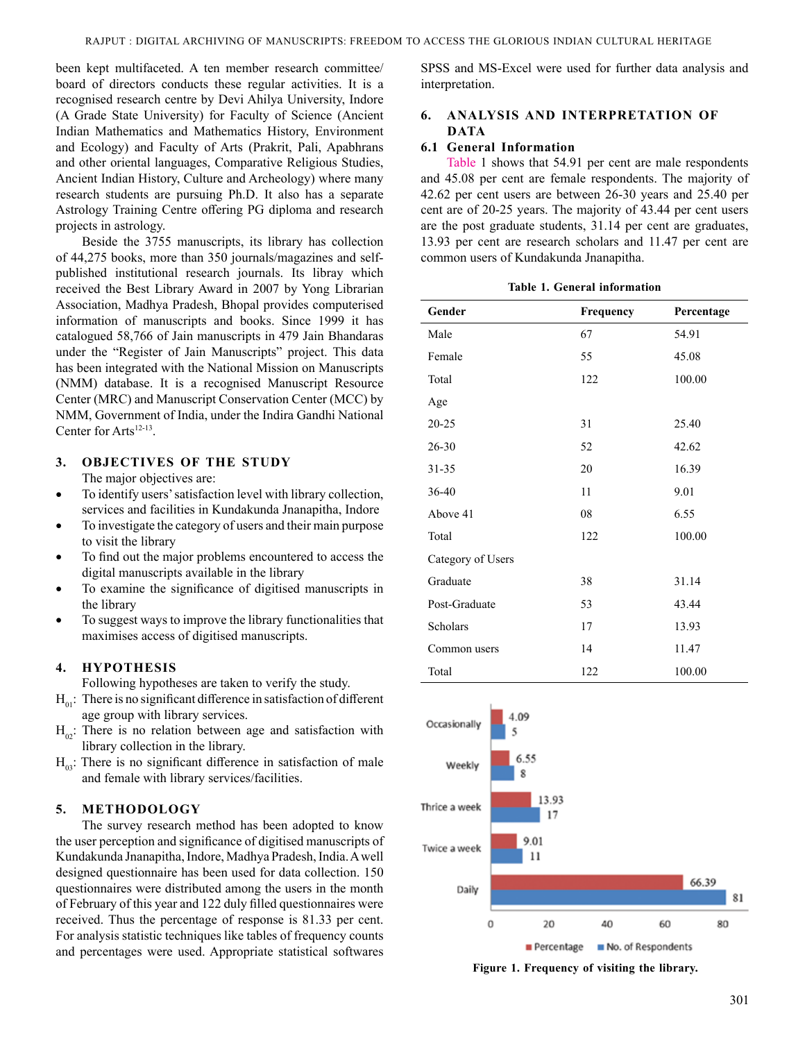been kept multifaceted. A ten member research committee/ board of directors conducts these regular activities. It is a recognised research centre by Devi Ahilya University, Indore (A Grade State University) for Faculty of Science (Ancient Indian Mathematics and Mathematics History, Environment and Ecology) and Faculty of Arts (Prakrit, Pali, Apabhrans and other oriental languages, Comparative Religious Studies, Ancient Indian History, Culture and Archeology) where many research students are pursuing Ph.D. It also has a separate Astrology Training Centre offering PG diploma and research projects in astrology.

Beside the 3755 manuscripts, its library has collection of 44,275 books, more than 350 journals/magazines and selfpublished institutional research journals. Its libray which received the Best Library Award in 2007 by Yong Librarian Association, Madhya Pradesh, Bhopal provides computerised information of manuscripts and books. Since 1999 it has catalogued 58,766 of Jain manuscripts in 479 Jain Bhandaras under the "Register of Jain Manuscripts" project. This data has been integrated with the National Mission on Manuscripts (NMM) database. It is a recognised Manuscript Resource Center (MRC) and Manuscript Conservation Center (MCC) by NMM, Government of India, under the Indira Gandhi National Center for Arts<sup>12-13</sup>.

# **3. OBJECTIVES OF THE STUDY**

The major objectives are:

- To identify users' satisfaction level with library collection, services and facilities in Kundakunda Jnanapitha, Indore
- To investigate the category of users and their main purpose to visit the library
- To find out the major problems encountered to access the digital manuscripts available in the library
- To examine the significance of digitised manuscripts in the library
- To suggest ways to improve the library functionalities that maximises access of digitised manuscripts.

### **4. HYPOTHESIS**

Following hypotheses are taken to verify the study.

- $H_{01}$ : There is no significant difference in satisfaction of different age group with library services.
- $H_{02}$ : There is no relation between age and satisfaction with library collection in the library.
- $H_{\alpha}$ : There is no significant difference in satisfaction of male and female with library services/facilities.

### **5. METHODOLOGY**

The survey research method has been adopted to know the user perception and significance of digitised manuscripts of Kundakunda Jnanapitha, Indore, Madhya Pradesh, India. A well designed questionnaire has been used for data collection. 150 questionnaires were distributed among the users in the month of February of this year and 122 duly filled questionnaires were received. Thus the percentage of response is 81.33 per cent. For analysis statistic techniques like tables of frequency counts and percentages were used. Appropriate statistical softwares

SPSS and MS-Excel were used for further data analysis and interpretation.

### **6. ANALYSIS AND INTERPRETATION OF DATA**

### **6.1 General Information**

Table 1 shows that 54.91 per cent are male respondents and 45.08 per cent are female respondents. The majority of 42.62 per cent users are between 26-30 years and 25.40 per cent are of 20-25 years. The majority of 43.44 per cent users are the post graduate students, 31.14 per cent are graduates, 13.93 per cent are research scholars and 11.47 per cent are common users of Kundakunda Jnanapitha.

**Table 1. General information**

| Gender            | Frequency | Percentage |
|-------------------|-----------|------------|
| Male              | 67        | 54.91      |
| Female            | 55        | 45.08      |
| Total             | 122       | 100.00     |
| Age               |           |            |
| $20 - 25$         | 31        | 25.40      |
| 26-30             | 52        | 42.62      |
| 31-35             | 20        | 16.39      |
| $36-40$           | 11        | 9.01       |
| Above 41          | 08        | 6.55       |
| Total             | 122       | 100.00     |
| Category of Users |           |            |
| Graduate          | 38        | 31.14      |
| Post-Graduate     | 53        | 43.44      |
| Scholars          | 17        | 13.93      |
| Common users      | 14        | 11.47      |
| Total             | 122       | 100.00     |



**Figure 1. Frequency of visiting the library.**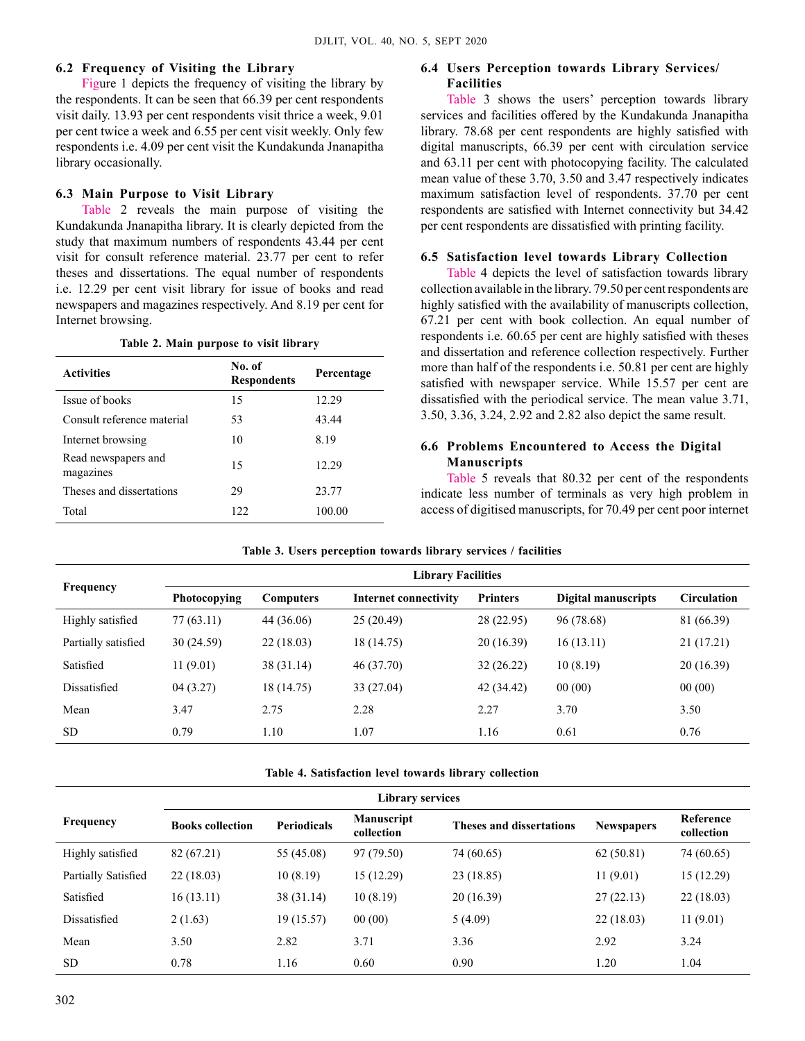### **6.2 Frequency of Visiting the Library**

Figure 1 depicts the frequency of visiting the library by the respondents. It can be seen that 66.39 per cent respondents visit daily. 13.93 per cent respondents visit thrice a week, 9.01 per cent twice a week and 6.55 per cent visit weekly. Only few respondents i.e. 4.09 per cent visit the Kundakunda Jnanapitha library occasionally.

### **6.3 Main Purpose to Visit Library**

Table 2 reveals the main purpose of visiting the Kundakunda Jnanapitha library. It is clearly depicted from the study that maximum numbers of respondents 43.44 per cent visit for consult reference material. 23.77 per cent to refer theses and dissertations. The equal number of respondents i.e. 12.29 per cent visit library for issue of books and read newspapers and magazines respectively. And 8.19 per cent for Internet browsing.

#### **Table 2. Main purpose to visit library**

| <b>Activities</b>                | No. of<br><b>Respondents</b> | Percentage |
|----------------------------------|------------------------------|------------|
| Issue of books                   | 15                           | 12.29      |
| Consult reference material       | 53                           | 43.44      |
| Internet browsing                | 10                           | 8.19       |
| Read newspapers and<br>magazines | 15                           | 12.29      |
| Theses and dissertations         | 29                           | 23.77      |
| Total                            | 122                          | 100.00     |

### **6.4 Users Perception towards Library Services/ Facilities**

Table 3 shows the users' perception towards library services and facilities offered by the Kundakunda Jnanapitha library. 78.68 per cent respondents are highly satisfied with digital manuscripts, 66.39 per cent with circulation service and 63.11 per cent with photocopying facility. The calculated mean value of these 3.70, 3.50 and 3.47 respectively indicates maximum satisfaction level of respondents. 37.70 per cent respondents are satisfied with Internet connectivity but 34.42 per cent respondents are dissatisfied with printing facility.

#### **6.5 Satisfaction level towards Library Collection**

Table 4 depicts the level of satisfaction towards library collection available in the library. 79.50 per cent respondents are highly satisfied with the availability of manuscripts collection, 67.21 per cent with book collection. An equal number of respondents i.e. 60.65 per cent are highly satisfied with theses and dissertation and reference collection respectively. Further more than half of the respondents i.e. 50.81 per cent are highly satisfied with newspaper service. While 15.57 per cent are dissatisfied with the periodical service. The mean value 3.71, 3.50, 3.36, 3.24, 2.92 and 2.82 also depict the same result.

### **6.6 Problems Encountered to Access the Digital Manuscripts**

Table 5 reveals that 80.32 per cent of the respondents indicate less number of terminals as very high problem in access of digitised manuscripts, for 70.49 per cent poor internet

|                     | <b>Library Facilities</b> |                  |                       |                 |                     |                    |  |
|---------------------|---------------------------|------------------|-----------------------|-----------------|---------------------|--------------------|--|
| <b>Frequency</b>    | <b>Photocopying</b>       | <b>Computers</b> | Internet connectivity | <b>Printers</b> | Digital manuscripts | <b>Circulation</b> |  |
| Highly satisfied    | 77 (63.11)                | 44 (36.06)       | 25(20.49)             | 28 (22.95)      | 96 (78.68)          | 81 (66.39)         |  |
| Partially satisfied | 30(24.59)                 | 22(18.03)        | 18 (14.75)            | 20 (16.39)      | 16(13.11)           | 21 (17.21)         |  |
| Satisfied           | 11(9.01)                  | 38 (31.14)       | 46 (37.70)            | 32(26.22)       | 10(8.19)            | 20(16.39)          |  |
| Dissatisfied        | 04(3.27)                  | 18 (14.75)       | 33 (27.04)            | 42 (34.42)      | 00(00)              | 00(00)             |  |
| Mean                | 3.47                      | 2.75             | 2.28                  | 2.27            | 3.70                | 3.50               |  |
| <b>SD</b>           | 0.79                      | 1.10             | 1.07                  | 1.16            | 0.61                | 0.76               |  |

|  | Table 3. Users perception towards library services / facilities |  |  |
|--|-----------------------------------------------------------------|--|--|
|  |                                                                 |  |  |

**Table 4. Satisfaction level towards library collection** 

| <b>Library services</b> |                         |                    |                                 |                                 |                   |                         |
|-------------------------|-------------------------|--------------------|---------------------------------|---------------------------------|-------------------|-------------------------|
| Frequency               | <b>Books collection</b> | <b>Periodicals</b> | <b>Manuscript</b><br>collection | <b>Theses and dissertations</b> | <b>Newspapers</b> | Reference<br>collection |
| Highly satisfied        | 82 (67.21)              | 55 (45.08)         | 97 (79.50)                      | 74 (60.65)                      | 62(50.81)         | 74 (60.65)              |
| Partially Satisfied     | 22(18.03)               | 10(8.19)           | 15 (12.29)                      | 23 (18.85)                      | 11(9.01)          | 15(12.29)               |
| Satisfied               | 16(13.11)               | 38 (31.14)         | 10(8.19)                        | 20(16.39)                       | 27(22.13)         | 22(18.03)               |
| Dissatisfied            | 2(1.63)                 | 19(15.57)          | 00(00)                          | 5(4.09)                         | 22(18.03)         | 11(9.01)                |
| Mean                    | 3.50                    | 2.82               | 3.71                            | 3.36                            | 2.92              | 3.24                    |
| <b>SD</b>               | 0.78                    | 1.16               | 0.60                            | 0.90                            | 1.20              | 1.04                    |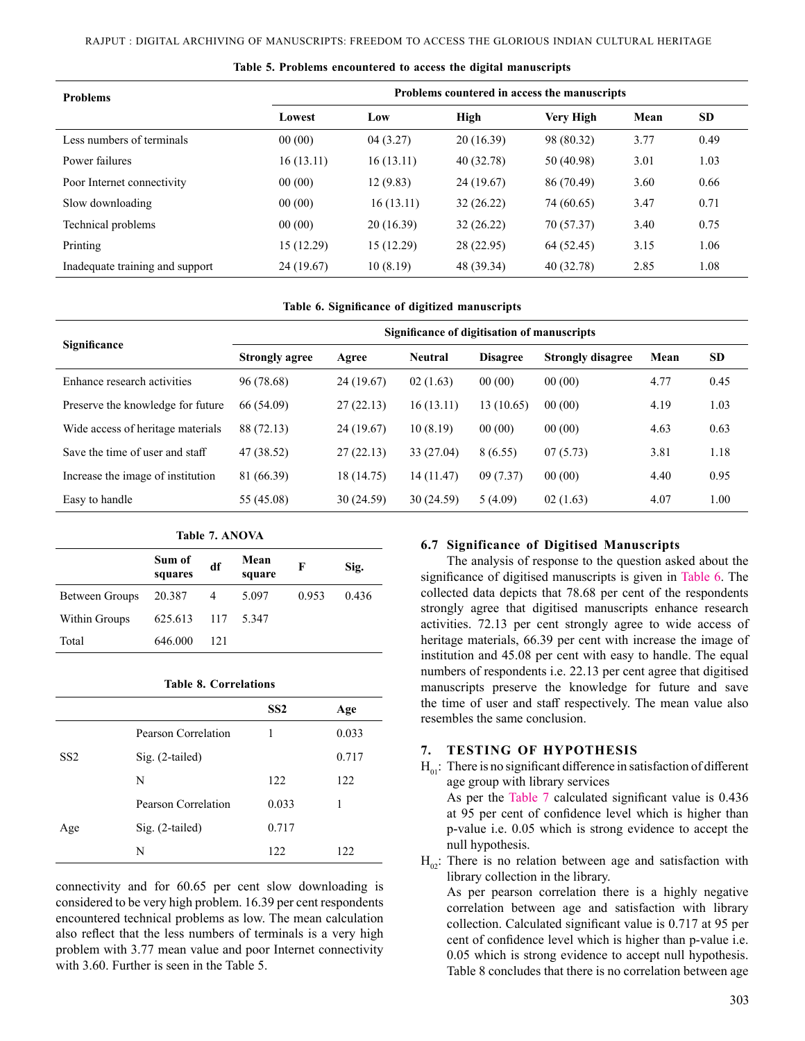| <b>Problems</b>                 | Problems countered in access the manuscripts |            |            |            |      |           |  |
|---------------------------------|----------------------------------------------|------------|------------|------------|------|-----------|--|
|                                 | Lowest                                       | Low        | High       | Very High  | Mean | <b>SD</b> |  |
| Less numbers of terminals       | 00(00)                                       | 04(3.27)   | 20 (16.39) | 98 (80.32) | 3.77 | 0.49      |  |
| Power failures                  | 16(13.11)                                    | 16(13.11)  | 40 (32.78) | 50 (40.98) | 3.01 | 1.03      |  |
| Poor Internet connectivity      | 00(00)                                       | 12 (9.83)  | 24 (19.67) | 86 (70.49) | 3.60 | 0.66      |  |
| Slow downloading                | 00(00)                                       | 16(13.11)  | 32(26.22)  | 74 (60.65) | 3.47 | 0.71      |  |
| Technical problems              | 00(00)                                       | 20(16.39)  | 32(26.22)  | 70 (57.37) | 3.40 | 0.75      |  |
| Printing                        | 15 (12.29)                                   | 15 (12.29) | 28 (22.95) | 64 (52.45) | 3.15 | 1.06      |  |
| Inadequate training and support | 24 (19.67)                                   | 10(8.19)   | 48 (39.34) | 40 (32.78) | 2.85 | 1.08      |  |

**Table 5. Problems encountered to access the digital manuscripts**

**Table 6. Significance of digitized manuscripts**

| Significance                      | Significance of digitisation of manuscripts |            |                |                 |                          |      |           |  |
|-----------------------------------|---------------------------------------------|------------|----------------|-----------------|--------------------------|------|-----------|--|
|                                   | <b>Strongly agree</b>                       | Agree      | <b>Neutral</b> | <b>Disagree</b> | <b>Strongly disagree</b> | Mean | <b>SD</b> |  |
| Enhance research activities       | 96 (78.68)                                  | 24 (19.67) | 02(1.63)       | 00(00)          | 00(00)                   | 4.77 | 0.45      |  |
| Preserve the knowledge for future | 66 (54.09)                                  | 27(22.13)  | 16 (13.11)     | 13(10.65)       | 00(00)                   | 4.19 | 1.03      |  |
| Wide access of heritage materials | 88 (72.13)                                  | 24 (19.67) | 10(8.19)       | 00(00)          | 00(00)                   | 4.63 | 0.63      |  |
| Save the time of user and staff   | 47 (38.52)                                  | 27(22.13)  | 33 (27.04)     | 8(6.55)         | 07(5.73)                 | 3.81 | 1.18      |  |
| Increase the image of institution | 81 (66.39)                                  | 18 (14.75) | 14 (11.47)     | 09(7.37)        | 00(00)                   | 4.40 | 0.95      |  |
| Easy to handle                    | 55 (45.08)                                  | 30 (24.59) | 30(24.59)      | 5(4.09)         | 02(1.63)                 | 4.07 | 1.00      |  |

| Table 7. ANOVA |                   |     |                |       |       |  |  |
|----------------|-------------------|-----|----------------|-------|-------|--|--|
|                | Sum of<br>squares | df  | Mean<br>square | F     | Sig.  |  |  |
| Between Groups | 20.387            | 4   | 5.097          | 0.953 | 0.436 |  |  |
| Within Groups  | 625.613           | 117 | 5.347          |       |       |  |  |
| Total          | 646.000           | 121 |                |       |       |  |  |

**Table 8. Correlations**

|                 |                     | SS2   | Age   |
|-----------------|---------------------|-------|-------|
|                 | Pearson Correlation |       | 0.033 |
| SS <sub>2</sub> | Sig. (2-tailed)     |       | 0.717 |
|                 | N                   | 122   | 122   |
|                 | Pearson Correlation | 0.033 | 1     |
| Age             | Sig. (2-tailed)     | 0.717 |       |
|                 | N                   | 122   | 122   |

connectivity and for 60.65 per cent slow downloading is considered to be very high problem. 16.39 per cent respondents encountered technical problems as low. The mean calculation also reflect that the less numbers of terminals is a very high problem with 3.77 mean value and poor Internet connectivity with 3.60. Further is seen in the Table 5.

#### **6.7 Significance of Digitised Manuscripts**

The analysis of response to the question asked about the significance of digitised manuscripts is given in Table 6. The collected data depicts that 78.68 per cent of the respondents strongly agree that digitised manuscripts enhance research activities. 72.13 per cent strongly agree to wide access of heritage materials, 66.39 per cent with increase the image of institution and 45.08 per cent with easy to handle. The equal numbers of respondents i.e. 22.13 per cent agree that digitised manuscripts preserve the knowledge for future and save the time of user and staff respectively. The mean value also resembles the same conclusion.

#### **7. Testing of Hypothesis**

 $H_{01}$ : There is no significant difference in satisfaction of different age group with library services As per the Table 7 calculated significant value is 0.436 at 95 per cent of confidence level which is higher than p-value i.e. 0.05 which is strong evidence to accept the null hypothesis.

 $H_{02}$ : There is no relation between age and satisfaction with library collection in the library.

As per pearson correlation there is a highly negative correlation between age and satisfaction with library collection. Calculated significant value is 0.717 at 95 per cent of confidence level which is higher than p-value i.e. 0.05 which is strong evidence to accept null hypothesis. Table 8 concludes that there is no correlation between age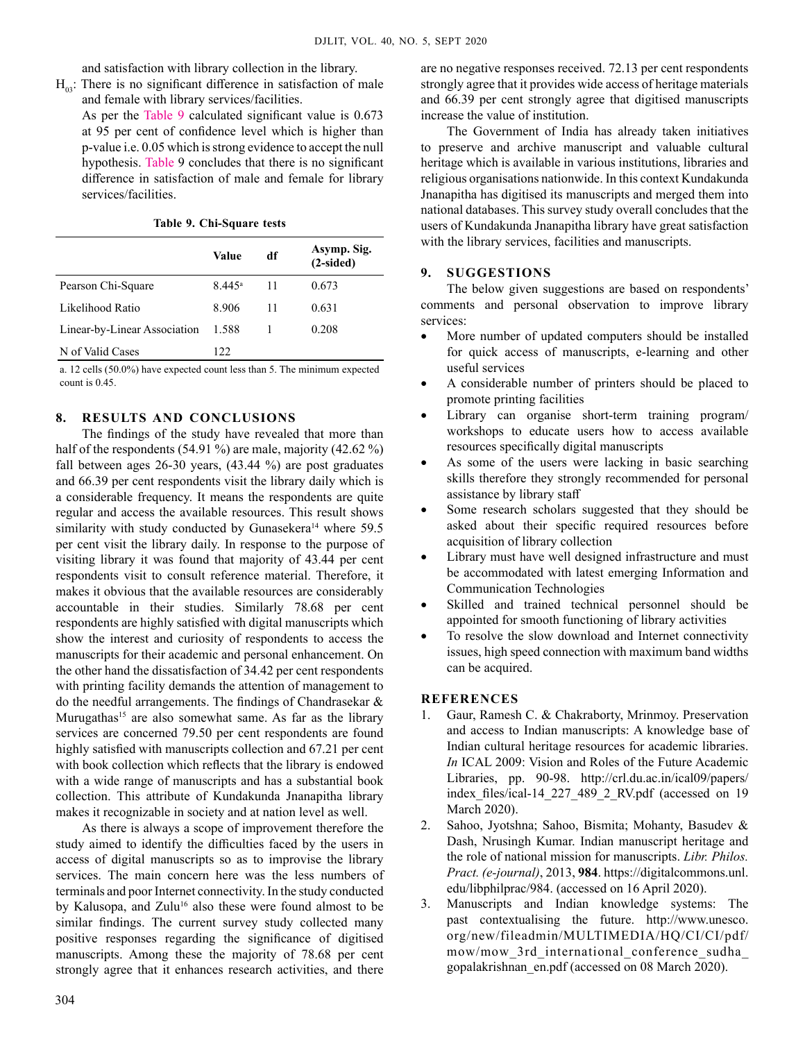and satisfaction with library collection in the library.

- $H_{03}$ : There is no significant difference in satisfaction of male and female with library services/facilities.
	- As per the Table 9 calculated significant value is 0.673 at 95 per cent of confidence level which is higher than p-value i.e. 0.05 which is strong evidence to accept the null hypothesis. Table 9 concludes that there is no significant difference in satisfaction of male and female for library services/facilities.

|  |  | Table 9. Chi-Square tests |  |
|--|--|---------------------------|--|
|--|--|---------------------------|--|

|                              | Value                | df | Asymp. Sig.<br>$(2-sided)$ |
|------------------------------|----------------------|----|----------------------------|
| Pearson Chi-Square           | $8.445$ <sup>a</sup> | 11 | 0.673                      |
| Likelihood Ratio             | 8.906                | 11 | 0.631                      |
| Linear-by-Linear Association | 1.588                |    | 0.208                      |
| N of Valid Cases             | 122.                 |    |                            |

a. 12 cells (50.0%) have expected count less than 5. The minimum expected count is 0.45.

### **8. RESULTS AND CONCLUSIONs**

The findings of the study have revealed that more than half of the respondents (54.91 %) are male, majority (42.62 %) fall between ages 26-30 years, (43.44 %) are post graduates and 66.39 per cent respondents visit the library daily which is a considerable frequency. It means the respondents are quite regular and access the available resources. This result shows similarity with study conducted by Gunasekera<sup>14</sup> where 59.5 per cent visit the library daily. In response to the purpose of visiting library it was found that majority of 43.44 per cent respondents visit to consult reference material. Therefore, it makes it obvious that the available resources are considerably accountable in their studies. Similarly 78.68 per cent respondents are highly satisfied with digital manuscripts which show the interest and curiosity of respondents to access the manuscripts for their academic and personal enhancement. On the other hand the dissatisfaction of 34.42 per cent respondents with printing facility demands the attention of management to do the needful arrangements. The findings of Chandrasekar & Murugathas<sup>15</sup> are also somewhat same. As far as the library services are concerned 79.50 per cent respondents are found highly satisfied with manuscripts collection and 67.21 per cent with book collection which reflects that the library is endowed with a wide range of manuscripts and has a substantial book collection. This attribute of Kundakunda Jnanapitha library makes it recognizable in society and at nation level as well.

As there is always a scope of improvement therefore the study aimed to identify the difficulties faced by the users in access of digital manuscripts so as to improvise the library services. The main concern here was the less numbers of terminals and poor Internet connectivity. In the study conducted by Kalusopa, and Zulu<sup>16</sup> also these were found almost to be similar findings. The current survey study collected many positive responses regarding the significance of digitised manuscripts. Among these the majority of 78.68 per cent strongly agree that it enhances research activities, and there

are no negative responses received. 72.13 per cent respondents strongly agree that it provides wide access of heritage materials and 66.39 per cent strongly agree that digitised manuscripts increase the value of institution.

The Government of India has already taken initiatives to preserve and archive manuscript and valuable cultural heritage which is available in various institutions, libraries and religious organisations nationwide. In this context Kundakunda Jnanapitha has digitised its manuscripts and merged them into national databases. This survey study overall concludes that the users of Kundakunda Jnanapitha library have great satisfaction with the library services, facilities and manuscripts.

### **9. SUGGESTIONS**

The below given suggestions are based on respondents' comments and personal observation to improve library services:

- More number of updated computers should be installed for quick access of manuscripts, e-learning and other useful services
- A considerable number of printers should be placed to promote printing facilities
- Library can organise short-term training program/ workshops to educate users how to access available resources specifically digital manuscripts
- As some of the users were lacking in basic searching skills therefore they strongly recommended for personal assistance by library staff
- Some research scholars suggested that they should be asked about their specific required resources before acquisition of library collection
- Library must have well designed infrastructure and must be accommodated with latest emerging Information and Communication Technologies
- Skilled and trained technical personnel should be appointed for smooth functioning of library activities
- To resolve the slow download and Internet connectivity issues, high speed connection with maximum band widths can be acquired.

### **REFERENCES**

- 1. Gaur, Ramesh C. & Chakraborty, Mrinmoy. Preservation and access to Indian manuscripts: A knowledge base of Indian cultural heritage resources for academic libraries. *In* ICAL 2009: Vision and Roles of the Future Academic Libraries, pp. 90-98. http://crl.du.ac.in/ical09/papers/ index\_files/ical-14\_227\_489\_2\_RV.pdf (accessed on 19 March 2020).
- 2. Sahoo, Jyotshna; Sahoo, Bismita; Mohanty, Basudev & Dash, Nrusingh Kumar. Indian manuscript heritage and the role of national mission for manuscripts. *Libr. Philos. Pract. (e-journal)*, 2013, **984**. https://digitalcommons.unl. edu/libphilprac/984. (accessed on 16 April 2020).
- 3. Manuscripts and Indian knowledge systems: The past contextualising the future. http://www.unesco. org/new/fileadmin/MULTIMEDIA/HQ/CI/CI/pdf/ mow/mow\_3rd\_international\_conference\_sudha\_ gopalakrishnan\_en.pdf (accessed on 08 March 2020).